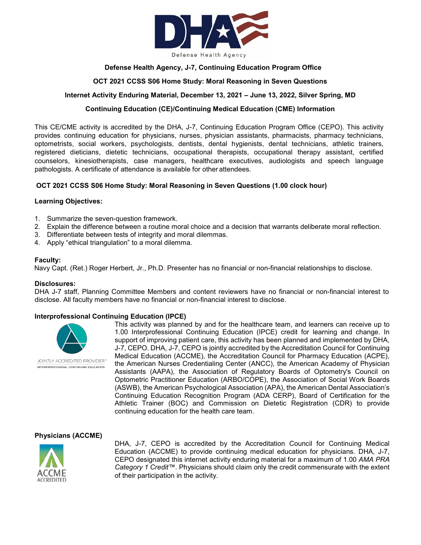

## **Defense Health Agency, J-7, Continuing Education Program Office**

## **OCT 2021 CCSS S06 Home Study: Moral Reasoning in Seven Questions**

## **Internet Activity Enduring Material, December 13, 2021 – June 13, 2022, Silver Spring, MD**

## **Continuing Education (CE)/Continuing Medical Education (CME) Information**

This CE/CME activity is accredited by the DHA, J-7, Continuing Education Program Office (CEPO). This activity provides continuing education for physicians, nurses, physician assistants, pharmacists, pharmacy technicians, optometrists, social workers, psychologists, dentists, dental hygienists, dental technicians, athletic trainers, registered dieticians, dietetic technicians, occupational therapists, occupational therapy assistant, certified counselors, kinesiotherapists, case managers, healthcare executives, audiologists and speech language pathologists. A certificate of attendance is available for other attendees.

## **OCT 2021 CCSS S06 Home Study: Moral Reasoning in Seven Questions (1.00 clock hour)**

#### **Learning Objectives:**

- 1. Summarize the seven-question framework.
- 2. Explain the difference between a routine moral choice and a decision that warrants deliberate moral reflection.
- 3. Differentiate between tests of integrity and moral dilemmas.
- 4. Apply "ethical triangulation" to a moral dilemma.

#### **Faculty:**

Navy Capt. (Ret.) Roger Herbert, Jr., Ph.D. Presenter has no financial or non-financial relationships to disclose.

#### **Disclosures:**

DHA J-7 staff, Planning Committee Members and content reviewers have no financial or non-financial interest to disclose. All faculty members have no financial or non-financial interest to disclose.

## **Interprofessional Continuing Education (IPCE)**



JOINTLY ACCREDITED PROVIDER" INTERPROFESSIONAL CONTINUING EDUCATION

This activity was planned by and for the healthcare team, and learners can receive up to 1.00 Interprofessional Continuing Education (IPCE) credit for learning and change. In support of improving patient care, this activity has been planned and implemented by DHA, J-7, CEPO. DHA, J-7, CEPO is jointly accredited by the Accreditation Council for Continuing Medical Education (ACCME), the Accreditation Council for Pharmacy Education (ACPE), the American Nurses Credentialing Center (ANCC), the American Academy of Physician Assistants (AAPA), the Association of Regulatory Boards of Optometry's Council on Optometric Practitioner Education (ARBO/COPE), the Association of Social Work Boards (ASWB), the American Psychological Association (APA), the American Dental Association's Continuing Education Recognition Program (ADA CERP), Board of Certification for the Athletic Trainer (BOC) and Commission on Dietetic Registration (CDR) to provide continuing education for the health care team.

#### **Physicians (ACCME)**



DHA, J-7, CEPO is accredited by the Accreditation Council for Continuing Medical Education (ACCME) to provide continuing medical education for physicians. DHA, J-7, CEPO designated this internet activity enduring material for a maximum of 1.00 *AMA PRA Category 1 Credit™*. Physicians should claim only the credit commensurate with the extent of their participation in the activity.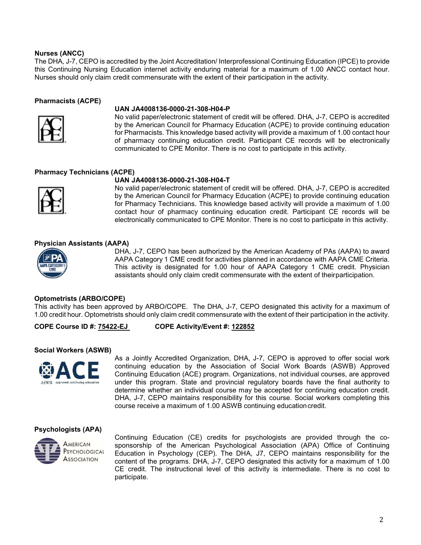## **Nurses (ANCC)**

The DHA, J-7, CEPO is accredited by the Joint Accreditation/ Interprofessional Continuing Education (IPCE) to provide this Continuing Nursing Education internet activity enduring material for a maximum of 1.00 ANCC contact hour. Nurses should only claim credit commensurate with the extent of their participation in the activity.

## **Pharmacists (ACPE)**



#### **UAN JA4008136-0000-21-308-H04-P**

No valid paper/electronic statement of credit will be offered. DHA, J-7, CEPO is accredited by the American Council for Pharmacy Education (ACPE) to provide continuing education for Pharmacists. This knowledge based activity will provide a maximum of 1.00 contact hour of pharmacy continuing education credit. Participant CE records will be electronically communicated to CPE Monitor. There is no cost to participate in this activity.

## **Pharmacy Technicians (ACPE)**

## **UAN JA4008136-0000-21-308-H04-T**



No valid paper/electronic statement of credit will be offered. DHA, J-7, CEPO is accredited by the American Council for Pharmacy Education (ACPE) to provide continuing education for Pharmacy Technicians. This knowledge based activity will provide a maximum of 1.00 contact hour of pharmacy continuing education credit. Participant CE records will be electronically communicated to CPE Monitor. There is no cost to participate in this activity.

#### **Physician Assistants (AAPA)**



DHA, J-7, CEPO has been authorized by the American Academy of PAs (AAPA) to award AAPA Category 1 CME credit for activities planned in accordance with AAPA CME Criteria. This activity is designated for 1.00 hour of AAPA Category 1 CME credit. Physician assistants should only claim credit commensurate with the extent of theirparticipation.

#### **Optometrists (ARBO/COPE)**

This activity has been approved by ARBO/COPE. The DHA, J-7, CEPO designated this activity for a maximum of 1.00 credit hour. Optometrists should only claim credit commensurate with the extent of their participation in the activity.

#### **COPE Course ID #: 75422-EJ COPE Activity/Event #: 122852**

#### **Social Workers (ASWB)**



As a Jointly Accredited Organization, DHA, J-7, CEPO is approved to offer social work continuing education by the Association of Social Work Boards (ASWB) Approved Continuing Education (ACE) program. Organizations, not individual courses, are approved under this program. State and provincial regulatory boards have the final authority to determine whether an individual course may be accepted for continuing education credit. DHA, J-7, CEPO maintains responsibility for this course. Social workers completing this course receive a maximum of 1.00 ASWB continuing educationcredit.

#### **Psychologists (APA)**



Continuing Education (CE) credits for psychologists are provided through the cosponsorship of the American Psychological Association (APA) Office of Continuing Education in Psychology (CEP). The DHA, J7, CEPO maintains responsibility for the content of the programs. DHA, J-7, CEPO designated this activity for a maximum of 1.00 CE credit. The instructional level of this activity is intermediate. There is no cost to participate.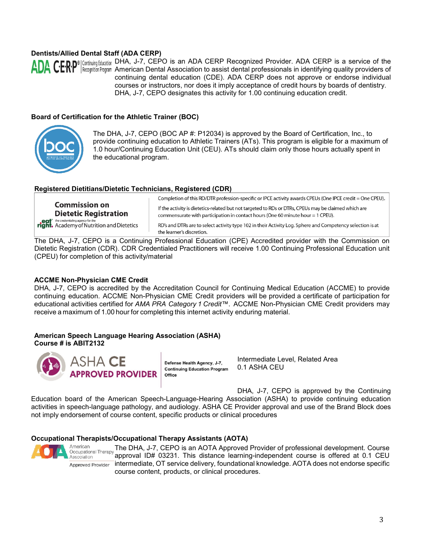# **Dentists/Allied Dental Staff (ADA CERP)**



DHA, J-7, CEPO is an ADA CERP Recognized Provider. ADA CERP is a service of the American Dental Association to assist dental professionals in identifying quality providers of continuing dental education (CDE). ADA CERP does not approve or endorse individual courses or instructors, nor does it imply acceptance of credit hours by boards of dentistry. DHA, J-7, CEPO designates this activity for 1.00 continuing education credit.

## **Board of Certification for the Athletic Trainer (BOC)**



The DHA, J-7, CEPO (BOC AP #: P12034) is approved by the Board of Certification, Inc., to provide continuing education to Athletic Trainers (ATs). This program is eligible for a maximum of 1.0 hour/Continuing Education Unit (CEU). ATs should claim only those hours actually spent in the educational program.

#### **Registered Dietitians/Dietetic Technicians, Registered (CDR)**

| <b>Commission on</b><br><b>Dietetic Registration</b>                                            | Completion of this RD/DTR profession-specific or IPCE activity awards CPEUs (One IPCE credit = One CPEU).<br>If the activity is dietetics-related but not targeted to RDs or DTRs, CPEUs may be claimed which are<br>commensurate with participation in contact hours (One 60 minute hour $= 1$ CPEU). |
|-------------------------------------------------------------------------------------------------|--------------------------------------------------------------------------------------------------------------------------------------------------------------------------------------------------------------------------------------------------------------------------------------------------------|
| <b>eat</b> the credentialing agency for the<br><b>right.</b> Academy of Nutrition and Dietetics | RD's and DTRs are to select activity type 102 in their Activity Log. Sphere and Competency selection is at<br>the learner's discretion.                                                                                                                                                                |

The DHA, J-7, CEPO is a Continuing Professional Education (CPE) Accredited provider with the Commission on Dietetic Registration (CDR). CDR Credentialed Practitioners will receive 1.00 Continuing Professional Education unit (CPEU) for completion of this activity/material

#### **ACCME Non-Physician CME Credit**

DHA, J-7, CEPO is accredited by the Accreditation Council for Continuing Medical Education (ACCME) to provide continuing education. ACCME Non-Physician CME Credit providers will be provided a certificate of participation for educational activities certified for *AMA PRA Category 1 Credit™*. ACCME Non-Physician CME Credit providers may receive a maximum of 1.00 hour for completing this internet activity enduring material.

## **American Speech Language Hearing Association (ASHA) Course # is ABIT2132**



Defense Health Agency, J-7, **Continuing Education Program** Office

Intermediate Level, Related Area 0.1 ASHA CEU

DHA, J-7, CEPO is approved by the Continuing Education board of the American Speech-Language-Hearing Association (ASHA) to provide continuing education activities in speech-language pathology, and audiology. ASHA CE Provider approval and use of the Brand Block does not imply endorsement of course content, specific products or clinical procedures

#### **Occupational Therapists/Occupational Therapy Assistants (AOTA)**



American The DHA, J-7, CEPO is an AOTA Approved Provider of professional development. Course Occupational Therapy approval ID# 03231. This distance learning-independent course is offered at 0.1 CEU Association Approved Provider intermediate, OT service delivery, foundational knowledge. AOTA does not endorse specific course content, products, or clinical procedures.